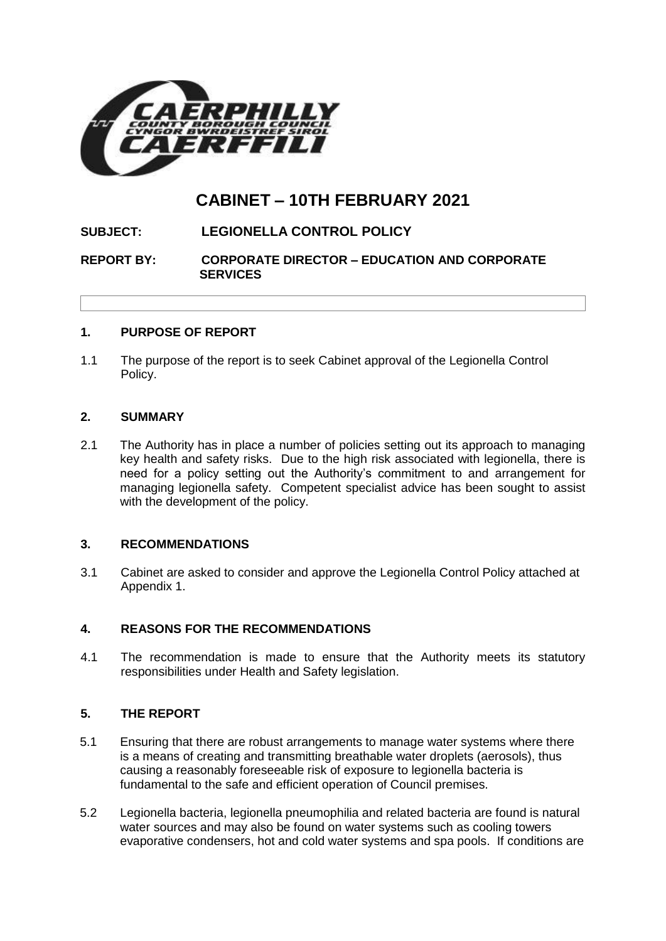

# **CABINET – 10TH FEBRUARY 2021**

# **SUBJECT: LEGIONELLA CONTROL POLICY**

# **REPORT BY: CORPORATE DIRECTOR – EDUCATION AND CORPORATE SERVICES**

# **1. PURPOSE OF REPORT**

1.1 The purpose of the report is to seek Cabinet approval of the Legionella Control Policy.

#### **2. SUMMARY**

2.1 The Authority has in place a number of policies setting out its approach to managing key health and safety risks. Due to the high risk associated with legionella, there is need for a policy setting out the Authority's commitment to and arrangement for managing legionella safety. Competent specialist advice has been sought to assist with the development of the policy.

#### **3. RECOMMENDATIONS**

3.1 Cabinet are asked to consider and approve the Legionella Control Policy attached at Appendix 1.

# **4. REASONS FOR THE RECOMMENDATIONS**

4.1 The recommendation is made to ensure that the Authority meets its statutory responsibilities under Health and Safety legislation.

# **5. THE REPORT**

- 5.1 Ensuring that there are robust arrangements to manage water systems where there is a means of creating and transmitting breathable water droplets (aerosols), thus causing a reasonably foreseeable risk of exposure to legionella bacteria is fundamental to the safe and efficient operation of Council premises.
- 5.2 Legionella bacteria, legionella pneumophilia and related bacteria are found is natural water sources and may also be found on water systems such as cooling towers evaporative condensers, hot and cold water systems and spa pools. If conditions are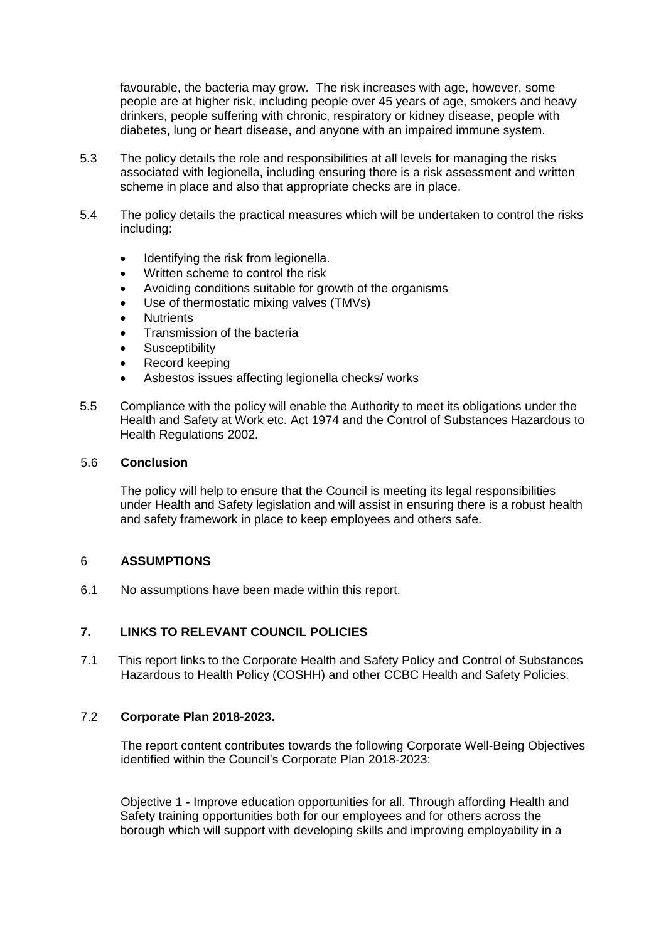favourable, the bacteria may grow. The risk increases with age, however, some people are at higher risk, including people over 45 years of age, smokers and heavy drinkers, people suffering with chronic, respiratory or kidney disease, people with diabetes, lung or heart disease, and anyone with an impaired immune system.

- 5.3 The policy details the role and responsibilities at all levels for managing the risks associated with legionella, including ensuring there is a risk assessment and written scheme in place and also that appropriate checks are in place.
- 5.4 The policy details the practical measures which will be undertaken to control the risks including:
	- Identifying the risk from legionella.
	- Written scheme to control the risk
	- Avoiding conditions suitable for growth of the organisms
	- Use of thermostatic mixing valves (TMVs)
	- **Nutrients**
	- Transmission of the bacteria
	- **Susceptibility**
	- Record keeping
	- Asbestos issues affecting legionella checks/ works
- 5.5 Compliance with the policy will enable the Authority to meet its obligations under the Health and Safety at Work etc. Act 1974 and the Control of Substances Hazardous to Health Regulations 2002.

#### 5.6 **Conclusion**

The policy will help to ensure that the Council is meeting its legal responsibilities under Health and Safety legislation and will assist in ensuring there is a robust health and safety framework in place to keep employees and others safe.

#### 6 **ASSUMPTIONS**

6.1 No assumptions have been made within this report.

# **7. LINKS TO RELEVANT COUNCIL POLICIES**

7.1 This report links to the Corporate Health and Safety Policy and Control of Substances Hazardous to Health Policy (COSHH) and other CCBC Health and Safety Policies.

### 7.2 **Corporate Plan 2018-2023.**

The report content contributes towards the following Corporate Well-Being Objectives identified within the Council's Corporate Plan 2018-2023:

Objective 1 - Improve education opportunities for all. Through affording Health and Safety training opportunities both for our employees and for others across the borough which will support with developing skills and improving employability in a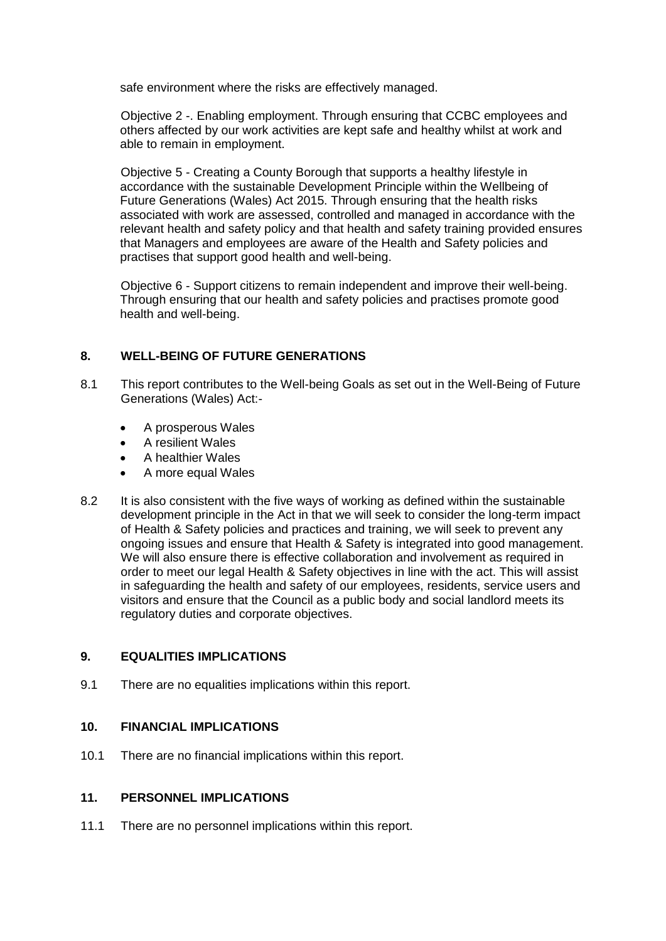safe environment where the risks are effectively managed.

Objective 2 -. Enabling employment. Through ensuring that CCBC employees and others affected by our work activities are kept safe and healthy whilst at work and able to remain in employment.

Objective 5 - Creating a County Borough that supports a healthy lifestyle in accordance with the sustainable Development Principle within the Wellbeing of Future Generations (Wales) Act 2015. Through ensuring that the health risks associated with work are assessed, controlled and managed in accordance with the relevant health and safety policy and that health and safety training provided ensures that Managers and employees are aware of the Health and Safety policies and practises that support good health and well-being.

Objective 6 - Support citizens to remain independent and improve their well-being. Through ensuring that our health and safety policies and practises promote good health and well-being.

# **8. WELL-BEING OF FUTURE GENERATIONS**

- 8.1 This report contributes to the Well-being Goals as set out in the Well-Being of Future Generations (Wales) Act:-
	- A prosperous Wales
	- A resilient Wales
	- A healthier Wales
	- A more equal Wales
- 8.2 It is also consistent with the five ways of working as defined within the sustainable development principle in the Act in that we will seek to consider the long-term impact of Health & Safety policies and practices and training, we will seek to prevent any ongoing issues and ensure that Health & Safety is integrated into good management. We will also ensure there is effective collaboration and involvement as required in order to meet our legal Health & Safety objectives in line with the act. This will assist in safeguarding the health and safety of our employees, residents, service users and visitors and ensure that the Council as a public body and social landlord meets its regulatory duties and corporate objectives.

# **9. EQUALITIES IMPLICATIONS**

9.1 There are no equalities implications within this report.

# **10. FINANCIAL IMPLICATIONS**

10.1 There are no financial implications within this report.

# **11. PERSONNEL IMPLICATIONS**

11.1 There are no personnel implications within this report.